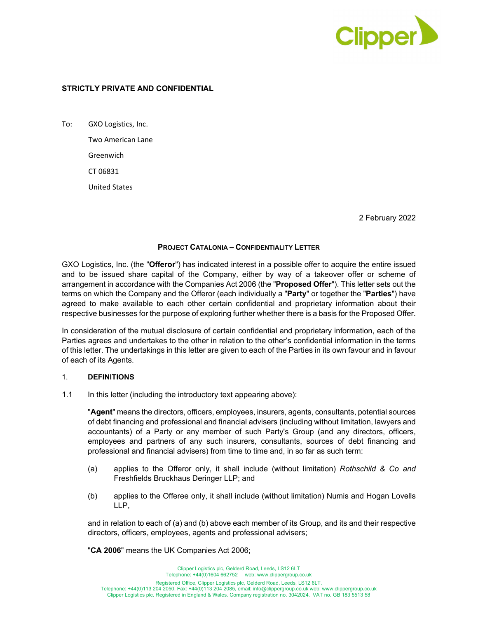

# **STRICTLY PRIVATE AND CONFIDENTIAL**

To: GXO Logistics, Inc. Two American Lane Greenwich CT 06831 United States

2 February 2022

### **PROJECT CATALONIA – CONFIDENTIALITY LETTER**

GXO Logistics, Inc. (the "**Offeror**") has indicated interest in a possible offer to acquire the entire issued and to be issued share capital of the Company, either by way of a takeover offer or scheme of arrangement in accordance with the Companies Act 2006 (the "**Proposed Offer**"). This letter sets out the terms on which the Company and the Offeror (each individually a "**Party**" or together the "**Parties**") have agreed to make available to each other certain confidential and proprietary information about their respective businesses for the purpose of exploring further whether there is a basis for the Proposed Offer.

In consideration of the mutual disclosure of certain confidential and proprietary information, each of the Parties agrees and undertakes to the other in relation to the other's confidential information in the terms of this letter. The undertakings in this letter are given to each of the Parties in its own favour and in favour of each of its Agents.

#### 1. **DEFINITIONS**

1.1 In this letter (including the introductory text appearing above):

"**Agent**" means the directors, officers, employees, insurers, agents, consultants, potential sources of debt financing and professional and financial advisers (including without limitation, lawyers and accountants) of a Party or any member of such Party's Group (and any directors, officers, employees and partners of any such insurers, consultants, sources of debt financing and professional and financial advisers) from time to time and, in so far as such term:

- (a) applies to the Offeror only, it shall include (without limitation) *Rothschild & Co and*  Freshfields Bruckhaus Deringer LLP; and
- (b) applies to the Offeree only, it shall include (without limitation) Numis and Hogan Lovells LLP,

and in relation to each of (a) and (b) above each member of its Group, and its and their respective directors, officers, employees, agents and professional advisers;

"**CA 2006**" means the UK Companies Act 2006;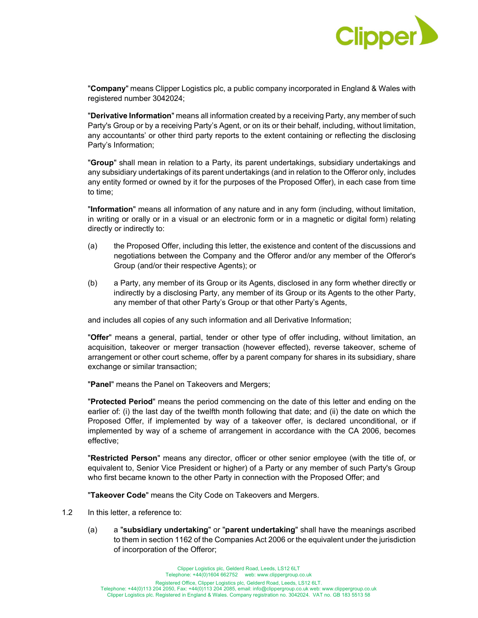

"**Company**" means Clipper Logistics plc, a public company incorporated in England & Wales with registered number 3042024;

"**Derivative Information**" means all information created by a receiving Party, any member of such Party's Group or by a receiving Party's Agent, or on its or their behalf, including, without limitation, any accountants' or other third party reports to the extent containing or reflecting the disclosing Party's Information;

"**Group**" shall mean in relation to a Party, its parent undertakings, subsidiary undertakings and any subsidiary undertakings of its parent undertakings (and in relation to the Offeror only, includes any entity formed or owned by it for the purposes of the Proposed Offer), in each case from time to time;

"**Information**" means all information of any nature and in any form (including, without limitation, in writing or orally or in a visual or an electronic form or in a magnetic or digital form) relating directly or indirectly to:

- (a) the Proposed Offer, including this letter, the existence and content of the discussions and negotiations between the Company and the Offeror and/or any member of the Offeror's Group (and/or their respective Agents); or
- (b) a Party, any member of its Group or its Agents, disclosed in any form whether directly or indirectly by a disclosing Party, any member of its Group or its Agents to the other Party, any member of that other Party's Group or that other Party's Agents,

and includes all copies of any such information and all Derivative Information;

"**Offer**" means a general, partial, tender or other type of offer including, without limitation, an acquisition, takeover or merger transaction (however effected), reverse takeover, scheme of arrangement or other court scheme, offer by a parent company for shares in its subsidiary, share exchange or similar transaction;

"**Panel**" means the Panel on Takeovers and Mergers;

"**Protected Period**" means the period commencing on the date of this letter and ending on the earlier of: (i) the last day of the twelfth month following that date; and (ii) the date on which the Proposed Offer, if implemented by way of a takeover offer, is declared unconditional, or if implemented by way of a scheme of arrangement in accordance with the CA 2006, becomes effective;

"**Restricted Person**" means any director, officer or other senior employee (with the title of, or equivalent to, Senior Vice President or higher) of a Party or any member of such Party's Group who first became known to the other Party in connection with the Proposed Offer; and

"**Takeover Code**" means the City Code on Takeovers and Mergers.

- 1.2 In this letter, a reference to:
	- (a) a "**subsidiary undertaking**" or "**parent undertaking**" shall have the meanings ascribed to them in section 1162 of the Companies Act 2006 or the equivalent under the jurisdiction of incorporation of the Offeror;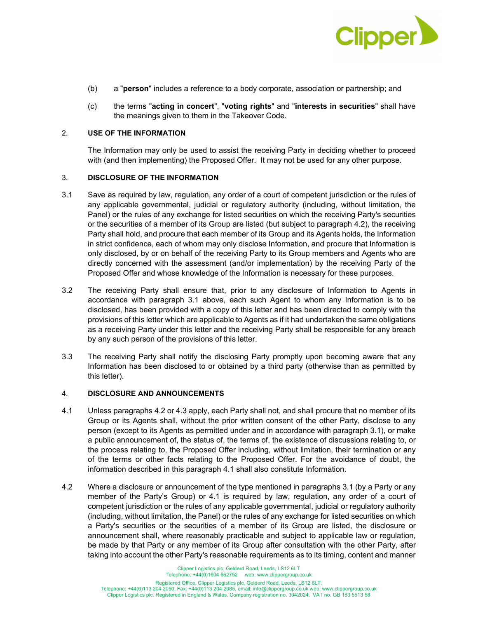

- (b) a "**person**" includes a reference to a body corporate, association or partnership; and
- (c) the terms "**acting in concert**", "**voting rights**" and "**interests in securities**" shall have the meanings given to them in the Takeover Code.

## 2. **USE OF THE INFORMATION**

The Information may only be used to assist the receiving Party in deciding whether to proceed with (and then implementing) the Proposed Offer. It may not be used for any other purpose.

### 3. **DISCLOSURE OF THE INFORMATION**

- 3.1 Save as required by law, regulation, any order of a court of competent jurisdiction or the rules of any applicable governmental, judicial or regulatory authority (including, without limitation, the Panel) or the rules of any exchange for listed securities on which the receiving Party's securities or the securities of a member of its Group are listed (but subject to paragraph 4.2), the receiving Party shall hold, and procure that each member of its Group and its Agents holds, the Information in strict confidence, each of whom may only disclose Information, and procure that Information is only disclosed, by or on behalf of the receiving Party to its Group members and Agents who are directly concerned with the assessment (and/or implementation) by the receiving Party of the Proposed Offer and whose knowledge of the Information is necessary for these purposes.
- 3.2 The receiving Party shall ensure that, prior to any disclosure of Information to Agents in accordance with paragraph 3.1 above, each such Agent to whom any Information is to be disclosed, has been provided with a copy of this letter and has been directed to comply with the provisions of this letter which are applicable to Agents as if it had undertaken the same obligations as a receiving Party under this letter and the receiving Party shall be responsible for any breach by any such person of the provisions of this letter.
- 3.3 The receiving Party shall notify the disclosing Party promptly upon becoming aware that any Information has been disclosed to or obtained by a third party (otherwise than as permitted by this letter).

#### 4. **DISCLOSURE AND ANNOUNCEMENTS**

- 4.1 Unless paragraphs 4.2 or 4.3 apply, each Party shall not, and shall procure that no member of its Group or its Agents shall, without the prior written consent of the other Party, disclose to any person (except to its Agents as permitted under and in accordance with paragraph 3.1), or make a public announcement of, the status of, the terms of, the existence of discussions relating to, or the process relating to, the Proposed Offer including, without limitation, their termination or any of the terms or other facts relating to the Proposed Offer. For the avoidance of doubt, the information described in this paragraph 4.1 shall also constitute Information.
- 4.2 Where a disclosure or announcement of the type mentioned in paragraphs 3.1 (by a Party or any member of the Party's Group) or 4.1 is required by law, regulation, any order of a court of competent jurisdiction or the rules of any applicable governmental, judicial or regulatory authority (including, without limitation, the Panel) or the rules of any exchange for listed securities on which a Party's securities or the securities of a member of its Group are listed, the disclosure or announcement shall, where reasonably practicable and subject to applicable law or regulation, be made by that Party or any member of its Group after consultation with the other Party, after taking into account the other Party's reasonable requirements as to its timing, content and manner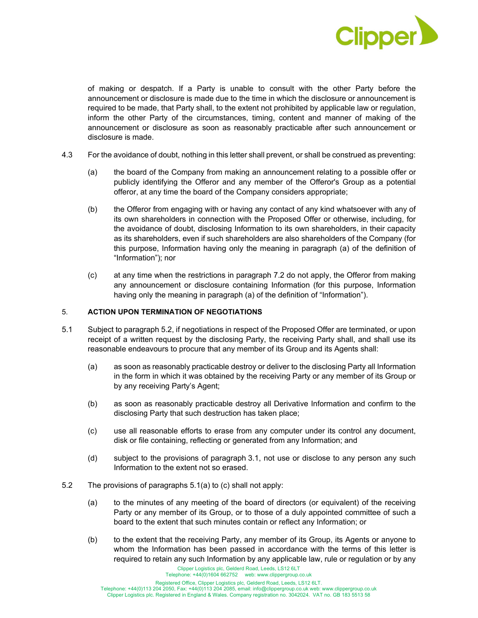

of making or despatch. If a Party is unable to consult with the other Party before the announcement or disclosure is made due to the time in which the disclosure or announcement is required to be made, that Party shall, to the extent not prohibited by applicable law or regulation, inform the other Party of the circumstances, timing, content and manner of making of the announcement or disclosure as soon as reasonably practicable after such announcement or disclosure is made.

- 4.3 For the avoidance of doubt, nothing in this letter shall prevent, or shall be construed as preventing:
	- (a) the board of the Company from making an announcement relating to a possible offer or publicly identifying the Offeror and any member of the Offeror's Group as a potential offeror, at any time the board of the Company considers appropriate;
	- (b) the Offeror from engaging with or having any contact of any kind whatsoever with any of its own shareholders in connection with the Proposed Offer or otherwise, including, for the avoidance of doubt, disclosing Information to its own shareholders, in their capacity as its shareholders, even if such shareholders are also shareholders of the Company (for this purpose, Information having only the meaning in paragraph (a) of the definition of "Information"); nor
	- (c) at any time when the restrictions in paragraph 7.2 do not apply, the Offeror from making any announcement or disclosure containing Information (for this purpose, Information having only the meaning in paragraph (a) of the definition of "Information").

# 5. **ACTION UPON TERMINATION OF NEGOTIATIONS**

- 5.1 Subject to paragraph 5.2, if negotiations in respect of the Proposed Offer are terminated, or upon receipt of a written request by the disclosing Party, the receiving Party shall, and shall use its reasonable endeavours to procure that any member of its Group and its Agents shall:
	- (a) as soon as reasonably practicable destroy or deliver to the disclosing Party all Information in the form in which it was obtained by the receiving Party or any member of its Group or by any receiving Party's Agent;
	- (b) as soon as reasonably practicable destroy all Derivative Information and confirm to the disclosing Party that such destruction has taken place;
	- (c) use all reasonable efforts to erase from any computer under its control any document, disk or file containing, reflecting or generated from any Information; and
	- (d) subject to the provisions of paragraph 3.1, not use or disclose to any person any such Information to the extent not so erased.
- 5.2 The provisions of paragraphs 5.1(a) to (c) shall not apply:
	- (a) to the minutes of any meeting of the board of directors (or equivalent) of the receiving Party or any member of its Group, or to those of a duly appointed committee of such a board to the extent that such minutes contain or reflect any Information; or
	- (b) to the extent that the receiving Party, any member of its Group, its Agents or anyone to whom the Information has been passed in accordance with the terms of this letter is required to retain any such Information by any applicable law, rule or regulation or by any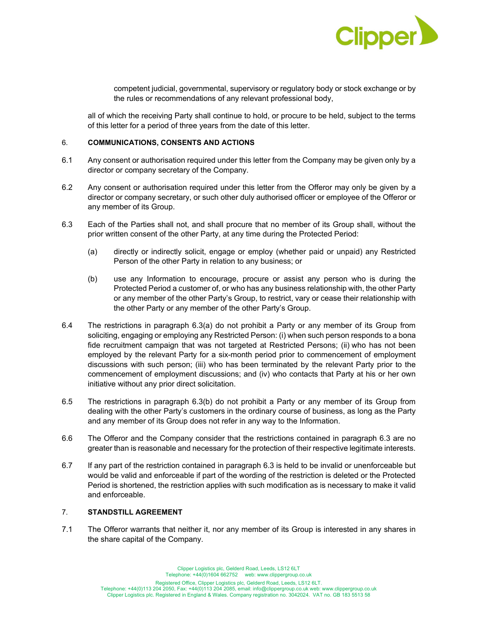

competent judicial, governmental, supervisory or regulatory body or stock exchange or by the rules or recommendations of any relevant professional body,

all of which the receiving Party shall continue to hold, or procure to be held, subject to the terms of this letter for a period of three years from the date of this letter.

### 6. **COMMUNICATIONS, CONSENTS AND ACTIONS**

- 6.1 Any consent or authorisation required under this letter from the Company may be given only by a director or company secretary of the Company.
- 6.2 Any consent or authorisation required under this letter from the Offeror may only be given by a director or company secretary, or such other duly authorised officer or employee of the Offeror or any member of its Group.
- 6.3 Each of the Parties shall not, and shall procure that no member of its Group shall, without the prior written consent of the other Party, at any time during the Protected Period:
	- (a) directly or indirectly solicit, engage or employ (whether paid or unpaid) any Restricted Person of the other Party in relation to any business; or
	- (b) use any Information to encourage, procure or assist any person who is during the Protected Period a customer of, or who has any business relationship with, the other Party or any member of the other Party's Group, to restrict, vary or cease their relationship with the other Party or any member of the other Party's Group.
- 6.4 The restrictions in paragraph 6.3(a) do not prohibit a Party or any member of its Group from soliciting, engaging or employing any Restricted Person: (i) when such person responds to a bona fide recruitment campaign that was not targeted at Restricted Persons; (ii) who has not been employed by the relevant Party for a six-month period prior to commencement of employment discussions with such person; (iii) who has been terminated by the relevant Party prior to the commencement of employment discussions; and (iv) who contacts that Party at his or her own initiative without any prior direct solicitation.
- 6.5 The restrictions in paragraph 6.3(b) do not prohibit a Party or any member of its Group from dealing with the other Party's customers in the ordinary course of business, as long as the Party and any member of its Group does not refer in any way to the Information.
- 6.6 The Offeror and the Company consider that the restrictions contained in paragraph 6.3 are no greater than is reasonable and necessary for the protection of their respective legitimate interests.
- 6.7 If any part of the restriction contained in paragraph 6.3 is held to be invalid or unenforceable but would be valid and enforceable if part of the wording of the restriction is deleted or the Protected Period is shortened, the restriction applies with such modification as is necessary to make it valid and enforceable.

## 7. **STANDSTILL AGREEMENT**

7.1 The Offeror warrants that neither it, nor any member of its Group is interested in any shares in the share capital of the Company.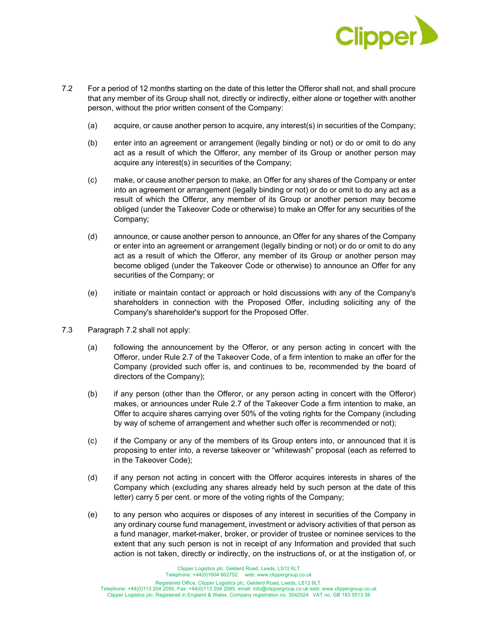

- 7.2 For a period of 12 months starting on the date of this letter the Offeror shall not, and shall procure that any member of its Group shall not, directly or indirectly, either alone or together with another person, without the prior written consent of the Company:
	- (a) acquire, or cause another person to acquire, any interest(s) in securities of the Company;
	- (b) enter into an agreement or arrangement (legally binding or not) or do or omit to do any act as a result of which the Offeror, any member of its Group or another person may acquire any interest(s) in securities of the Company;
	- (c) make, or cause another person to make, an Offer for any shares of the Company or enter into an agreement or arrangement (legally binding or not) or do or omit to do any act as a result of which the Offeror, any member of its Group or another person may become obliged (under the Takeover Code or otherwise) to make an Offer for any securities of the Company;
	- (d) announce, or cause another person to announce, an Offer for any shares of the Company or enter into an agreement or arrangement (legally binding or not) or do or omit to do any act as a result of which the Offeror, any member of its Group or another person may become obliged (under the Takeover Code or otherwise) to announce an Offer for any securities of the Company; or
	- (e) initiate or maintain contact or approach or hold discussions with any of the Company's shareholders in connection with the Proposed Offer, including soliciting any of the Company's shareholder's support for the Proposed Offer.
- 7.3 Paragraph 7.2 shall not apply:
	- (a) following the announcement by the Offeror, or any person acting in concert with the Offeror, under Rule 2.7 of the Takeover Code, of a firm intention to make an offer for the Company (provided such offer is, and continues to be, recommended by the board of directors of the Company);
	- (b) if any person (other than the Offeror, or any person acting in concert with the Offeror) makes, or announces under Rule 2.7 of the Takeover Code a firm intention to make, an Offer to acquire shares carrying over 50% of the voting rights for the Company (including by way of scheme of arrangement and whether such offer is recommended or not);
	- (c) if the Company or any of the members of its Group enters into, or announced that it is proposing to enter into, a reverse takeover or "whitewash" proposal (each as referred to in the Takeover Code);
	- (d) if any person not acting in concert with the Offeror acquires interests in shares of the Company which (excluding any shares already held by such person at the date of this letter) carry 5 per cent. or more of the voting rights of the Company;
	- (e) to any person who acquires or disposes of any interest in securities of the Company in any ordinary course fund management, investment or advisory activities of that person as a fund manager, market-maker, broker, or provider of trustee or nominee services to the extent that any such person is not in receipt of any Information and provided that such action is not taken, directly or indirectly, on the instructions of, or at the instigation of, or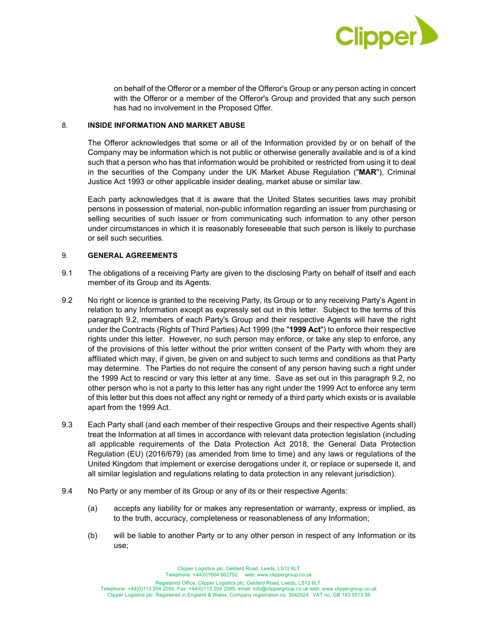

on behalf of the Offeror or a member of the Offeror's Group or any person acting in concert with the Offeror or a member of the Offeror's Group and provided that any such person has had no involvement in the Proposed Offer.

### 8. **INSIDE INFORMATION AND MARKET ABUSE**

The Offeror acknowledges that some or all of the Information provided by or on behalf of the Company may be information which is not public or otherwise generally available and is of a kind such that a person who has that information would be prohibited or restricted from using it to deal in the securities of the Company under the UK Market Abuse Regulation ("**MAR**"), Criminal Justice Act 1993 or other applicable insider dealing, market abuse or similar law.

Each party acknowledges that it is aware that the United States securities laws may prohibit persons in possession of material, non-public information regarding an issuer from purchasing or selling securities of such issuer or from communicating such information to any other person under circumstances in which it is reasonably foreseeable that such person is likely to purchase or sell such securities.

### 9. **GENERAL AGREEMENTS**

- 9.1 The obligations of a receiving Party are given to the disclosing Party on behalf of itself and each member of its Group and its Agents.
- 9.2 No right or licence is granted to the receiving Party, its Group or to any receiving Party's Agent in relation to any Information except as expressly set out in this letter. Subject to the terms of this paragraph 9.2, members of each Party's Group and their respective Agents will have the right under the Contracts (Rights of Third Parties) Act 1999 (the "**1999 Act**") to enforce their respective rights under this letter. However, no such person may enforce, or take any step to enforce, any of the provisions of this letter without the prior written consent of the Party with whom they are affiliated which may, if given, be given on and subject to such terms and conditions as that Party may determine. The Parties do not require the consent of any person having such a right under the 1999 Act to rescind or vary this letter at any time. Save as set out in this paragraph 9.2, no other person who is not a party to this letter has any right under the 1999 Act to enforce any term of this letter but this does not affect any right or remedy of a third party which exists or is available apart from the 1999 Act.
- 9.3 Each Party shall (and each member of their respective Groups and their respective Agents shall) treat the Information at all times in accordance with relevant data protection legislation (including all applicable requirements of the Data Protection Act 2018, the General Data Protection Regulation (EU) (2016/679) (as amended from time to time) and any laws or regulations of the United Kingdom that implement or exercise derogations under it, or replace or supersede it, and all similar legislation and regulations relating to data protection in any relevant jurisdiction).
- 9.4 No Party or any member of its Group or any of its or their respective Agents:
	- (a) accepts any liability for or makes any representation or warranty, express or implied, as to the truth, accuracy, completeness or reasonableness of any Information;
	- (b) will be liable to another Party or to any other person in respect of any Information or its use;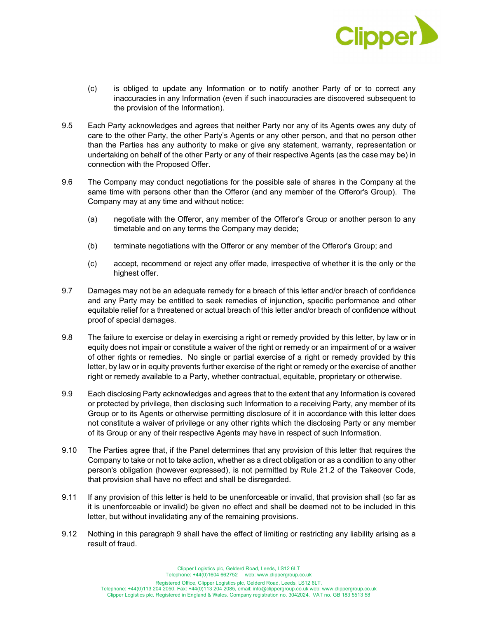

- (c) is obliged to update any Information or to notify another Party of or to correct any inaccuracies in any Information (even if such inaccuracies are discovered subsequent to the provision of the Information).
- 9.5 Each Party acknowledges and agrees that neither Party nor any of its Agents owes any duty of care to the other Party, the other Party's Agents or any other person, and that no person other than the Parties has any authority to make or give any statement, warranty, representation or undertaking on behalf of the other Party or any of their respective Agents (as the case may be) in connection with the Proposed Offer.
- 9.6 The Company may conduct negotiations for the possible sale of shares in the Company at the same time with persons other than the Offeror (and any member of the Offeror's Group). The Company may at any time and without notice:
	- (a) negotiate with the Offeror, any member of the Offeror's Group or another person to any timetable and on any terms the Company may decide;
	- (b) terminate negotiations with the Offeror or any member of the Offeror's Group; and
	- (c) accept, recommend or reject any offer made, irrespective of whether it is the only or the highest offer.
- 9.7 Damages may not be an adequate remedy for a breach of this letter and/or breach of confidence and any Party may be entitled to seek remedies of injunction, specific performance and other equitable relief for a threatened or actual breach of this letter and/or breach of confidence without proof of special damages.
- 9.8 The failure to exercise or delay in exercising a right or remedy provided by this letter, by law or in equity does not impair or constitute a waiver of the right or remedy or an impairment of or a waiver of other rights or remedies. No single or partial exercise of a right or remedy provided by this letter, by law or in equity prevents further exercise of the right or remedy or the exercise of another right or remedy available to a Party, whether contractual, equitable, proprietary or otherwise.
- 9.9 Each disclosing Party acknowledges and agrees that to the extent that any Information is covered or protected by privilege, then disclosing such Information to a receiving Party, any member of its Group or to its Agents or otherwise permitting disclosure of it in accordance with this letter does not constitute a waiver of privilege or any other rights which the disclosing Party or any member of its Group or any of their respective Agents may have in respect of such Information.
- 9.10 The Parties agree that, if the Panel determines that any provision of this letter that requires the Company to take or not to take action, whether as a direct obligation or as a condition to any other person's obligation (however expressed), is not permitted by Rule 21.2 of the Takeover Code, that provision shall have no effect and shall be disregarded.
- 9.11 If any provision of this letter is held to be unenforceable or invalid, that provision shall (so far as it is unenforceable or invalid) be given no effect and shall be deemed not to be included in this letter, but without invalidating any of the remaining provisions.
- 9.12 Nothing in this paragraph 9 shall have the effect of limiting or restricting any liability arising as a result of fraud.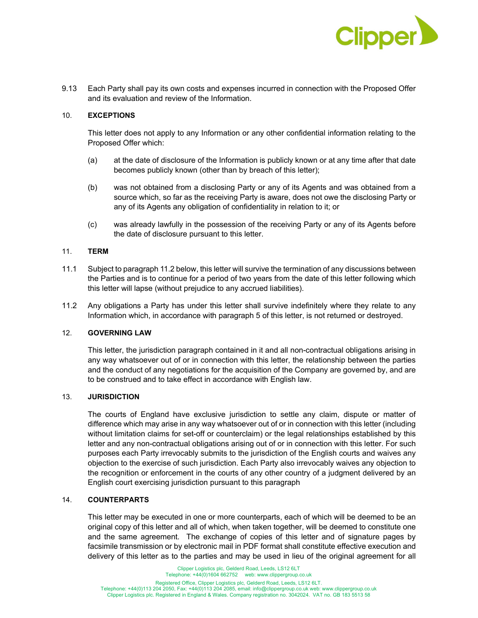

9.13 Each Party shall pay its own costs and expenses incurred in connection with the Proposed Offer and its evaluation and review of the Information.

### 10. **EXCEPTIONS**

This letter does not apply to any Information or any other confidential information relating to the Proposed Offer which:

- (a) at the date of disclosure of the Information is publicly known or at any time after that date becomes publicly known (other than by breach of this letter);
- (b) was not obtained from a disclosing Party or any of its Agents and was obtained from a source which, so far as the receiving Party is aware, does not owe the disclosing Party or any of its Agents any obligation of confidentiality in relation to it; or
- (c) was already lawfully in the possession of the receiving Party or any of its Agents before the date of disclosure pursuant to this letter.

#### 11. **TERM**

- 11.1 Subject to paragraph 11.2 below, this letter will survive the termination of any discussions between the Parties and is to continue for a period of two years from the date of this letter following which this letter will lapse (without prejudice to any accrued liabilities).
- 11.2 Any obligations a Party has under this letter shall survive indefinitely where they relate to any Information which, in accordance with paragraph 5 of this letter, is not returned or destroyed.

### 12. **GOVERNING LAW**

This letter, the jurisdiction paragraph contained in it and all non-contractual obligations arising in any way whatsoever out of or in connection with this letter, the relationship between the parties and the conduct of any negotiations for the acquisition of the Company are governed by, and are to be construed and to take effect in accordance with English law.

#### 13. **JURISDICTION**

The courts of England have exclusive jurisdiction to settle any claim, dispute or matter of difference which may arise in any way whatsoever out of or in connection with this letter (including without limitation claims for set-off or counterclaim) or the legal relationships established by this letter and any non-contractual obligations arising out of or in connection with this letter. For such purposes each Party irrevocably submits to the jurisdiction of the English courts and waives any objection to the exercise of such jurisdiction. Each Party also irrevocably waives any objection to the recognition or enforcement in the courts of any other country of a judgment delivered by an English court exercising jurisdiction pursuant to this paragraph

#### 14. **COUNTERPARTS**

This letter may be executed in one or more counterparts, each of which will be deemed to be an original copy of this letter and all of which, when taken together, will be deemed to constitute one and the same agreement. The exchange of copies of this letter and of signature pages by facsimile transmission or by electronic mail in PDF format shall constitute effective execution and delivery of this letter as to the parties and may be used in lieu of the original agreement for all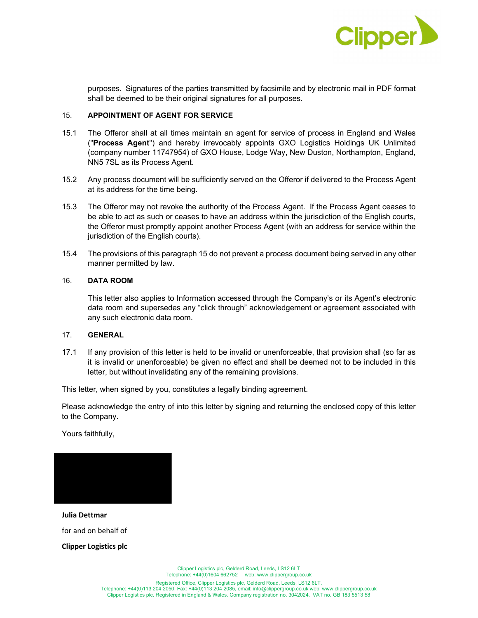

purposes. Signatures of the parties transmitted by facsimile and by electronic mail in PDF format shall be deemed to be their original signatures for all purposes.

### 15. **APPOINTMENT OF AGENT FOR SERVICE**

- 15.1 The Offeror shall at all times maintain an agent for service of process in England and Wales ("**Process Agent**") and hereby irrevocably appoints GXO Logistics Holdings UK Unlimited (company number 11747954) of GXO House, Lodge Way, New Duston, Northampton, England, NN5 7SL as its Process Agent.
- 15.2 Any process document will be sufficiently served on the Offeror if delivered to the Process Agent at its address for the time being.
- 15.3 The Offeror may not revoke the authority of the Process Agent. If the Process Agent ceases to be able to act as such or ceases to have an address within the jurisdiction of the English courts, the Offeror must promptly appoint another Process Agent (with an address for service within the jurisdiction of the English courts).
- 15.4 The provisions of this paragraph 15 do not prevent a process document being served in any other manner permitted by law.

#### 16. **DATA ROOM**

This letter also applies to Information accessed through the Company's or its Agent's electronic data room and supersedes any "click through" acknowledgement or agreement associated with any such electronic data room.

## 17. **GENERAL**

17.1 If any provision of this letter is held to be invalid or unenforceable, that provision shall (so far as it is invalid or unenforceable) be given no effect and shall be deemed not to be included in this letter, but without invalidating any of the remaining provisions.

This letter, when signed by you, constitutes a legally binding agreement.

Please acknowledge the entry of into this letter by signing and returning the enclosed copy of this letter to the Company.

Yours faithfully,



# **Julia Dettmar**

for and on behalf of

**Clipper Logistics plc**